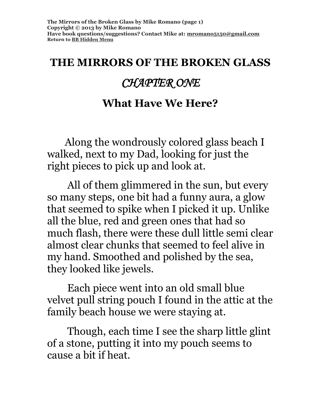#### **THE MIRRORS OF THE BROKEN GLASS**

## *CHAPTER ONE*

#### **What Have We Here?**

 Along the wondrously colored glass beach I walked, next to my Dad, looking for just the right pieces to pick up and look at.

 All of them glimmered in the sun, but every so many steps, one bit had a funny aura, a glow that seemed to spike when I picked it up. Unlike all the blue, red and green ones that had so much flash, there were these dull little semi clear almost clear chunks that seemed to feel alive in my hand. Smoothed and polished by the sea, they looked like jewels.

 Each piece went into an old small blue velvet pull string pouch I found in the attic at the family beach house we were staying at.

 Though, each time I see the sharp little glint of a stone, putting it into my pouch seems to cause a bit if heat.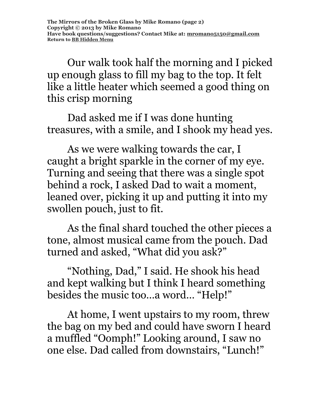Our walk took half the morning and I picked up enough glass to fill my bag to the top. It felt like a little heater which seemed a good thing on this crisp morning

 Dad asked me if I was done hunting treasures, with a smile, and I shook my head yes.

 As we were walking towards the car, I caught a bright sparkle in the corner of my eye. Turning and seeing that there was a single spot behind a rock, I asked Dad to wait a moment, leaned over, picking it up and putting it into my swollen pouch, just to fit.

 As the final shard touched the other pieces a tone, almost musical came from the pouch. Dad turned and asked, "What did you ask?"

 "Nothing, Dad," I said. He shook his head and kept walking but I think I heard something besides the music too…a word… "Help!"

 At home, I went upstairs to my room, threw the bag on my bed and could have sworn I heard a muffled "Oomph!" Looking around, I saw no one else. Dad called from downstairs, "Lunch!"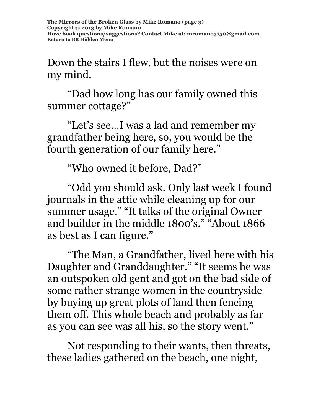**The Mirrors of the Broken Glass by Mike Romano (page 3) Copyright © 2013 by Mike Romano Have book questions/suggestions? Contact Mike at: [mromano5150@gmail.com](mailto:mromano5150@gmail.com) Return t[o BB Hidden Menu](https://www.bartlettbiographies.com/hidden-menu)**

Down the stairs I flew, but the noises were on my mind.

 "Dad how long has our family owned this summer cottage?"

 "Let's see…I was a lad and remember my grandfather being here, so, you would be the fourth generation of our family here."

"Who owned it before, Dad?"

 "Odd you should ask. Only last week I found journals in the attic while cleaning up for our summer usage." "It talks of the original Owner and builder in the middle 1800's." "About 1866 as best as I can figure."

 "The Man, a Grandfather, lived here with his Daughter and Granddaughter." "It seems he was an outspoken old gent and got on the bad side of some rather strange women in the countryside by buying up great plots of land then fencing them off. This whole beach and probably as far as you can see was all his, so the story went."

 Not responding to their wants, then threats, these ladies gathered on the beach, one night,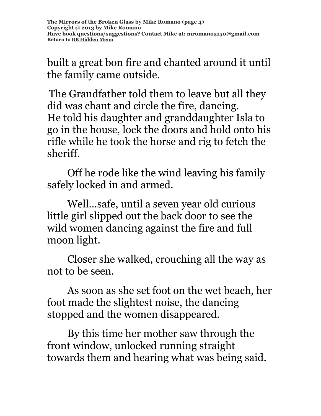**The Mirrors of the Broken Glass by Mike Romano (page 4) Copyright © 2013 by Mike Romano Have book questions/suggestions? Contact Mike at: [mromano5150@gmail.com](mailto:mromano5150@gmail.com) Return t[o BB Hidden Menu](https://www.bartlettbiographies.com/hidden-menu)**

built a great bon fire and chanted around it until the family came outside.

The Grandfather told them to leave but all they did was chant and circle the fire, dancing. He told his daughter and granddaughter Isla to go in the house, lock the doors and hold onto his rifle while he took the horse and rig to fetch the sheriff.

 Off he rode like the wind leaving his family safely locked in and armed.

 Well…safe, until a seven year old curious little girl slipped out the back door to see the wild women dancing against the fire and full moon light.

 Closer she walked, crouching all the way as not to be seen.

 As soon as she set foot on the wet beach, her foot made the slightest noise, the dancing stopped and the women disappeared.

 By this time her mother saw through the front window, unlocked running straight towards them and hearing what was being said.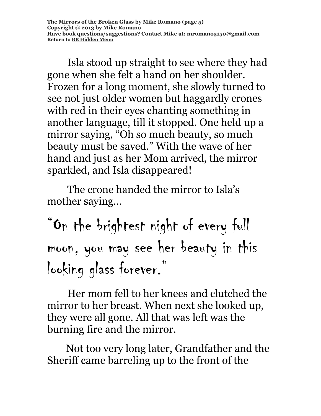**The Mirrors of the Broken Glass by Mike Romano (page 5) Copyright © 2013 by Mike Romano Have book questions/suggestions? Contact Mike at: [mromano5150@gmail.com](mailto:mromano5150@gmail.com) Return t[o BB Hidden Menu](https://www.bartlettbiographies.com/hidden-menu)**

 Isla stood up straight to see where they had gone when she felt a hand on her shoulder. Frozen for a long moment, she slowly turned to see not just older women but haggardly crones with red in their eyes chanting something in another language, till it stopped. One held up a mirror saying, "Oh so much beauty, so much beauty must be saved." With the wave of her hand and just as her Mom arrived, the mirror sparkled, and Isla disappeared!

 The crone handed the mirror to Isla's mother saying…

"On the brightest night of every full moon, you may see her beauty in this looking glass forever."

 Her mom fell to her knees and clutched the mirror to her breast. When next she looked up, they were all gone. All that was left was the burning fire and the mirror.

Not too very long later, Grandfather and the Sheriff came barreling up to the front of the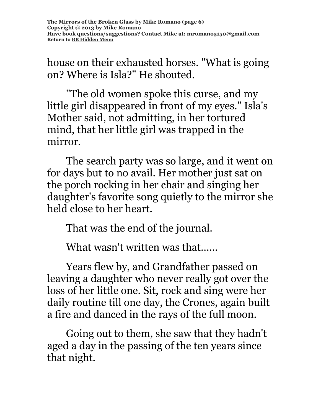house on their exhausted horses. "What is going on? Where is Isla?" He shouted.

"The old women spoke this curse, and my little girl disappeared in front of my eyes." Isla's Mother said, not admitting, in her tortured mind, that her little girl was trapped in the mirror.

The search party was so large, and it went on for days but to no avail. Her mother just sat on the porch rocking in her chair and singing her daughter's favorite song quietly to the mirror she held close to her heart.

That was the end of the journal.

What wasn't written was that......

Years flew by, and Grandfather passed on leaving a daughter who never really got over the loss of her little one. Sit, rock and sing were her daily routine till one day, the Crones, again built a fire and danced in the rays of the full moon.

Going out to them, she saw that they hadn't aged a day in the passing of the ten years since that night.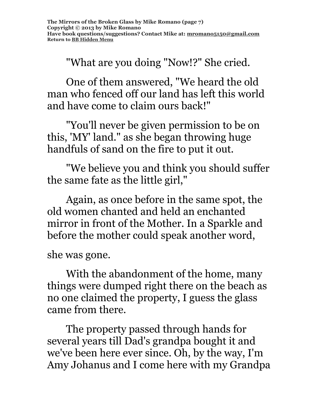"What are you doing "Now!?" She cried.

One of them answered, "We heard the old man who fenced off our land has left this world and have come to claim ours back!"

"You'll never be given permission to be on this, 'MY' land." as she began throwing huge handfuls of sand on the fire to put it out.

"We believe you and think you should suffer the same fate as the little girl,"

Again, as once before in the same spot, the old women chanted and held an enchanted mirror in front of the Mother. In a Sparkle and before the mother could speak another word,

she was gone.

With the abandonment of the home, many things were dumped right there on the beach as no one claimed the property, I guess the glass came from there.

The property passed through hands for several years till Dad's grandpa bought it and we've been here ever since. Oh, by the way, I'm Amy Johanus and I come here with my Grandpa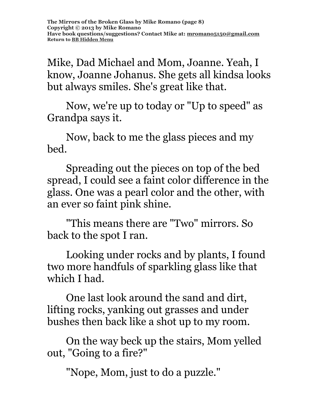Mike, Dad Michael and Mom, Joanne. Yeah, I know, Joanne Johanus. She gets all kindsa looks but always smiles. She's great like that.

Now, we're up to today or "Up to speed" as Grandpa says it.

Now, back to me the glass pieces and my bed.

Spreading out the pieces on top of the bed spread, I could see a faint color difference in the glass. One was a pearl color and the other, with an ever so faint pink shine.

"This means there are "Two" mirrors. So back to the spot I ran.

Looking under rocks and by plants, I found two more handfuls of sparkling glass like that which I had.

One last look around the sand and dirt, lifting rocks, yanking out grasses and under bushes then back like a shot up to my room.

On the way beck up the stairs, Mom yelled out, "Going to a fire?"

"Nope, Mom, just to do a puzzle."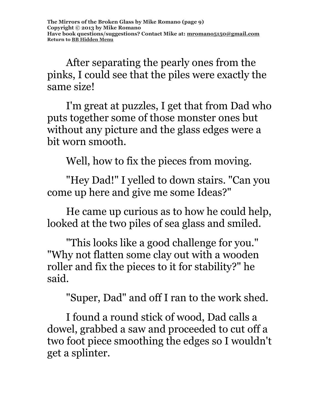After separating the pearly ones from the pinks, I could see that the piles were exactly the same size!

I'm great at puzzles, I get that from Dad who puts together some of those monster ones but without any picture and the glass edges were a bit worn smooth.

Well, how to fix the pieces from moving.

"Hey Dad!" I yelled to down stairs. "Can you come up here and give me some Ideas?"

He came up curious as to how he could help, looked at the two piles of sea glass and smiled.

"This looks like a good challenge for you." "Why not flatten some clay out with a wooden roller and fix the pieces to it for stability?" he said.

"Super, Dad" and off I ran to the work shed.

I found a round stick of wood, Dad calls a dowel, grabbed a saw and proceeded to cut off a two foot piece smoothing the edges so I wouldn't get a splinter.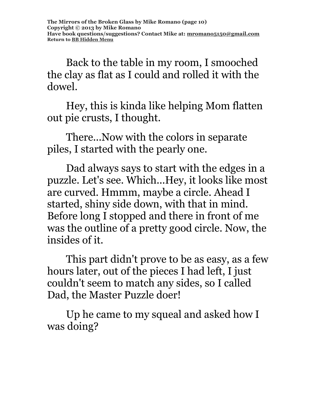Back to the table in my room, I smooched the clay as flat as I could and rolled it with the dowel.

Hey, this is kinda like helping Mom flatten out pie crusts, I thought.

There...Now with the colors in separate piles, I started with the pearly one.

Dad always says to start with the edges in a puzzle. Let's see. Which...Hey, it looks like most are curved. Hmmm, maybe a circle. Ahead I started, shiny side down, with that in mind. Before long I stopped and there in front of me was the outline of a pretty good circle. Now, the insides of it.

This part didn't prove to be as easy, as a few hours later, out of the pieces I had left, I just couldn't seem to match any sides, so I called Dad, the Master Puzzle doer!

Up he came to my squeal and asked how I was doing?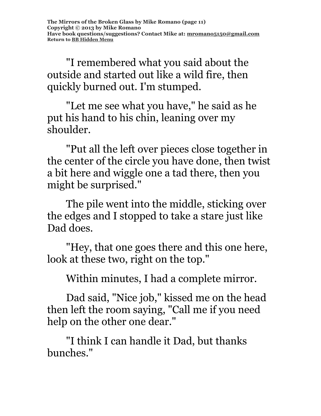"I remembered what you said about the outside and started out like a wild fire, then quickly burned out. I'm stumped.

"Let me see what you have," he said as he put his hand to his chin, leaning over my shoulder.

"Put all the left over pieces close together in the center of the circle you have done, then twist a bit here and wiggle one a tad there, then you might be surprised."

The pile went into the middle, sticking over the edges and I stopped to take a stare just like Dad does.

"Hey, that one goes there and this one here, look at these two, right on the top."

Within minutes, I had a complete mirror.

Dad said, "Nice job," kissed me on the head then left the room saying, "Call me if you need help on the other one dear."

"I think I can handle it Dad, but thanks bunches."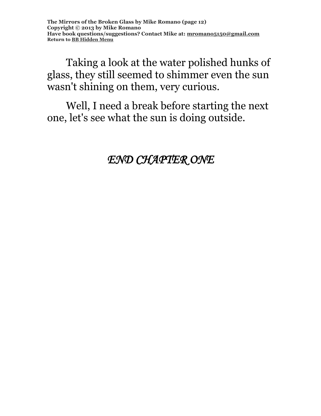Taking a look at the water polished hunks of glass, they still seemed to shimmer even the sun wasn't shining on them, very curious.

Well, I need a break before starting the next one, let's see what the sun is doing outside.

*END CHAPTER ONE*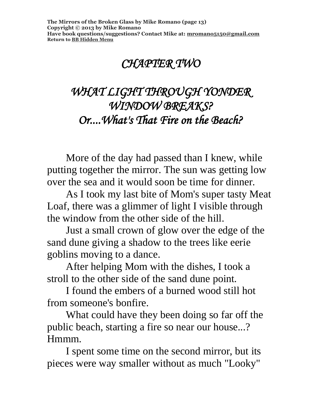# *CHAPTER TWO*

# *WHAT LIGHT THROUGH YONDER WINDOW BREAKS? Or....What's That Fire on the Beach?*

More of the day had passed than I knew, while putting together the mirror. The sun was getting low over the sea and it would soon be time for dinner.

As I took my last bite of Mom's super tasty Meat Loaf, there was a glimmer of light I visible through the window from the other side of the hill.

Just a small crown of glow over the edge of the sand dune giving a shadow to the trees like eerie goblins moving to a dance.

After helping Mom with the dishes, I took a stroll to the other side of the sand dune point.

I found the embers of a burned wood still hot from someone's bonfire.

What could have they been doing so far off the public beach, starting a fire so near our house...? Hmmm.

I spent some time on the second mirror, but its pieces were way smaller without as much "Looky"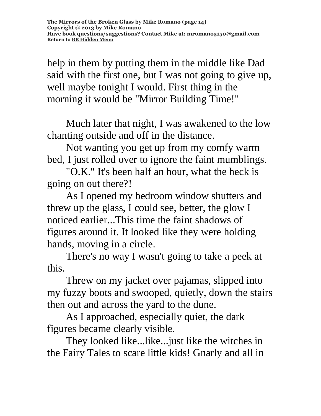help in them by putting them in the middle like Dad said with the first one, but I was not going to give up, well maybe tonight I would. First thing in the morning it would be "Mirror Building Time!"

Much later that night, I was awakened to the low chanting outside and off in the distance.

Not wanting you get up from my comfy warm bed, I just rolled over to ignore the faint mumblings.

"O.K." It's been half an hour, what the heck is going on out there?!

As I opened my bedroom window shutters and threw up the glass, I could see, better, the glow I noticed earlier...This time the faint shadows of figures around it. It looked like they were holding hands, moving in a circle.

There's no way I wasn't going to take a peek at this.

Threw on my jacket over pajamas, slipped into my fuzzy boots and swooped, quietly, down the stairs then out and across the yard to the dune.

As I approached, especially quiet, the dark figures became clearly visible.

They looked like...like...just like the witches in the Fairy Tales to scare little kids! Gnarly and all in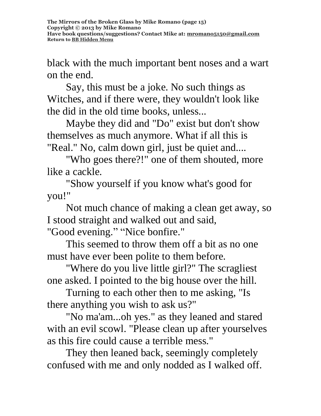black with the much important bent noses and a wart on the end.

Say, this must be a joke. No such things as Witches, and if there were, they wouldn't look like the did in the old time books, unless...

Maybe they did and "Do" exist but don't show themselves as much anymore. What if all this is "Real." No, calm down girl, just be quiet and....

"Who goes there?!" one of them shouted, more like a cackle.

"Show yourself if you know what's good for you!"

Not much chance of making a clean get away, so I stood straight and walked out and said, "Good evening." "Nice bonfire."

This seemed to throw them off a bit as no one must have ever been polite to them before.

"Where do you live little girl?" The scragliest one asked. I pointed to the big house over the hill.

Turning to each other then to me asking, "Is there anything you wish to ask us?"

"No ma'am...oh yes." as they leaned and stared with an evil scowl. "Please clean up after yourselves as this fire could cause a terrible mess."

They then leaned back, seemingly completely confused with me and only nodded as I walked off.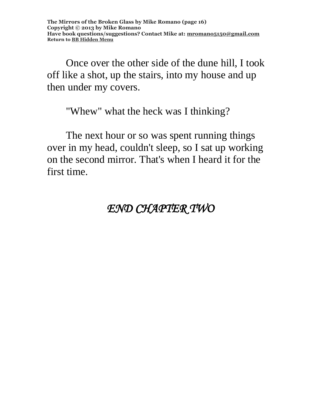**The Mirrors of the Broken Glass by Mike Romano (page 16) Copyright © 2013 by Mike Romano Have book questions/suggestions? Contact Mike at: [mromano5150@gmail.com](mailto:mromano5150@gmail.com) Return t[o BB Hidden Menu](https://www.bartlettbiographies.com/hidden-menu)**

Once over the other side of the dune hill, I took off like a shot, up the stairs, into my house and up then under my covers.

"Whew" what the heck was I thinking?

The next hour or so was spent running things over in my head, couldn't sleep, so I sat up working on the second mirror. That's when I heard it for the first time.

#### *END CHAPTER TWO*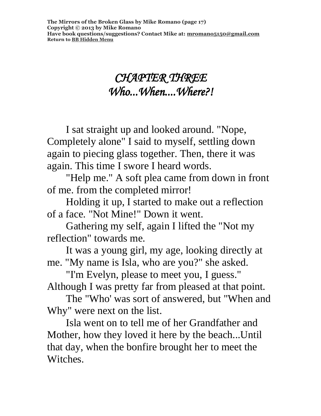## *CHAPTER THREE Who...When....Where?!*

I sat straight up and looked around. "Nope, Completely alone" I said to myself, settling down again to piecing glass together. Then, there it was again. This time I swore I heard words.

"Help me." A soft plea came from down in front of me. from the completed mirror!

Holding it up, I started to make out a reflection of a face. "Not Mine!" Down it went.

Gathering my self, again I lifted the "Not my reflection" towards me.

It was a young girl, my age, looking directly at me. "My name is Isla, who are you?" she asked.

"I'm Evelyn, please to meet you, I guess." Although I was pretty far from pleased at that point.

The "Who' was sort of answered, but "When and Why" were next on the list.

Isla went on to tell me of her Grandfather and Mother, how they loved it here by the beach...Until that day, when the bonfire brought her to meet the Witches.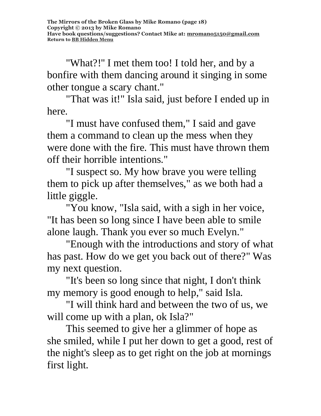"What?!'' I met them too! I told her, and by a bonfire with them dancing around it singing in some other tongue a scary chant."

"That was it!" Isla said, just before I ended up in here.

"I must have confused them," I said and gave them a command to clean up the mess when they were done with the fire. This must have thrown them off their horrible intentions."

"I suspect so. My how brave you were telling them to pick up after themselves," as we both had a little giggle.

"You know, "Isla said, with a sigh in her voice, "It has been so long since I have been able to smile alone laugh. Thank you ever so much Evelyn."

"Enough with the introductions and story of what has past. How do we get you back out of there?" Was my next question.

"It's been so long since that night, I don't think my memory is good enough to help," said Isla.

"I will think hard and between the two of us, we will come up with a plan, ok Isla?"

This seemed to give her a glimmer of hope as she smiled, while I put her down to get a good, rest of the night's sleep as to get right on the job at mornings first light.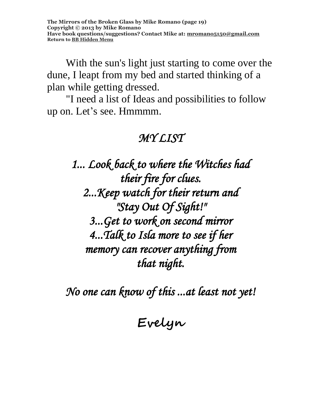**The Mirrors of the Broken Glass by Mike Romano (page 19) Copyright © 2013 by Mike Romano Have book questions/suggestions? Contact Mike at: [mromano5150@gmail.com](mailto:mromano5150@gmail.com) Return t[o BB Hidden Menu](https://www.bartlettbiographies.com/hidden-menu)**

With the sun's light just starting to come over the dune, I leapt from my bed and started thinking of a plan while getting dressed.

"I need a list of Ideas and possibilities to follow up on. Let's see. Hmmmm.

#### *MY LIST*

*1... Look back to where the Witches had their fire for clues. 2...Keep watch for their return and "Stay Out Of Sight!" 3...Get to work on second mirror 4...Talk to Isla more to see if her memory can recover anything from that night.* 

*No one can know of this ...at least not yet!* 

**Evelyn**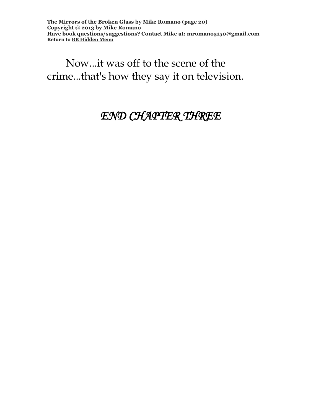**The Mirrors of the Broken Glass by Mike Romano (page 20) Copyright © 2013 by Mike Romano Have book questions/suggestions? Contact Mike at: [mromano5150@gmail.com](mailto:mromano5150@gmail.com) Return t[o BB Hidden Menu](https://www.bartlettbiographies.com/hidden-menu)**

Now...it was off to the scene of the crime...that's how they say it on television.

#### *END CHAPTER THREE*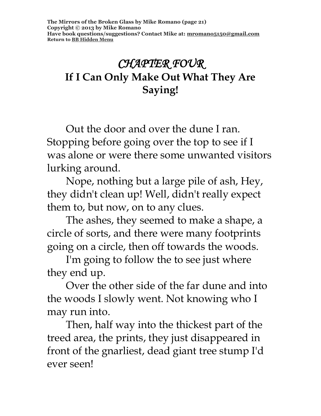## *CHAPTER FOUR*  **If I Can Only Make Out What They Are Saying!**

Out the door and over the dune I ran. Stopping before going over the top to see if I was alone or were there some unwanted visitors lurking around.

Nope, nothing but a large pile of ash, Hey, they didn't clean up! Well, didn't really expect them to, but now, on to any clues.

The ashes, they seemed to make a shape, a circle of sorts, and there were many footprints going on a circle, then off towards the woods.

I'm going to follow the to see just where they end up.

Over the other side of the far dune and into the woods I slowly went. Not knowing who I may run into.

Then, half way into the thickest part of the treed area, the prints, they just disappeared in front of the gnarliest, dead giant tree stump I'd ever seen!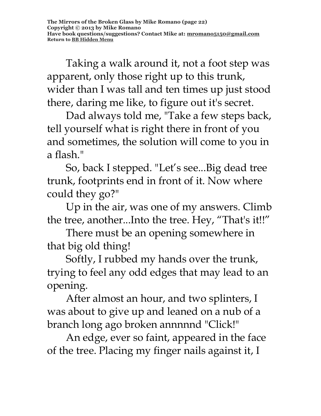Taking a walk around it, not a foot step was apparent, only those right up to this trunk, wider than I was tall and ten times up just stood there, daring me like, to figure out it's secret.

Dad always told me, "Take a few steps back, tell yourself what is right there in front of you and sometimes, the solution will come to you in a flash."

So, back I stepped. "Let's see...Big dead tree trunk, footprints end in front of it. Now where could they go?"

Up in the air, was one of my answers. Climb the tree, another...Into the tree. Hey, "That's it!!"

There must be an opening somewhere in that big old thing!

Softly, I rubbed my hands over the trunk, trying to feel any odd edges that may lead to an opening.

After almost an hour, and two splinters, I was about to give up and leaned on a nub of a branch long ago broken annnnnd "Click!"

An edge, ever so faint, appeared in the face of the tree. Placing my finger nails against it, I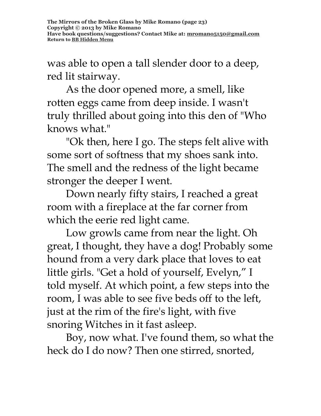was able to open a tall slender door to a deep, red lit stairway.

As the door opened more, a smell, like rotten eggs came from deep inside. I wasn't truly thrilled about going into this den of "Who knows what."

"Ok then, here I go. The steps felt alive with some sort of softness that my shoes sank into. The smell and the redness of the light became stronger the deeper I went.

Down nearly fifty stairs, I reached a great room with a fireplace at the far corner from which the eerie red light came.

Low growls came from near the light. Oh great, I thought, they have a dog! Probably some hound from a very dark place that loves to eat little girls. "Get a hold of yourself, Evelyn," I told myself. At which point, a few steps into the room, I was able to see five beds off to the left, just at the rim of the fire's light, with five snoring Witches in it fast asleep.

Boy, now what. I've found them, so what the heck do I do now? Then one stirred, snorted,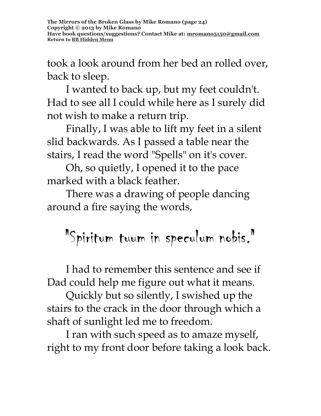took a look around from her bed an rolled over, back to sleep.

I wanted to back up, but my feet couldn't. Had to see all I could while here as I surely did not wish to make a return trip.

Finally, I was able to lift my feet in a silent slid backwards. As I passed a table near the stairs, I read the word "Spells" on it's cover.

Oh, so quietly, I opened it to the pace marked with a black feather.

There was a drawing of people dancing around a fire saying the words,

# "Spiritum tuum in speculum nobis."

I had to remember this sentence and see if Dad could help me figure out what it means.

Quickly but so silently, I swished up the stairs to the crack in the door through which a shaft of sunlight led me to freedom.

I ran with such speed as to amaze myself, right to my front door before taking a look back.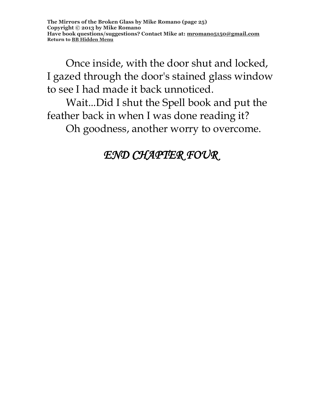Once inside, with the door shut and locked, I gazed through the door's stained glass window to see I had made it back unnoticed.

Wait...Did I shut the Spell book and put the feather back in when I was done reading it?

Oh goodness, another worry to overcome.

# *END CHAPTER FOUR*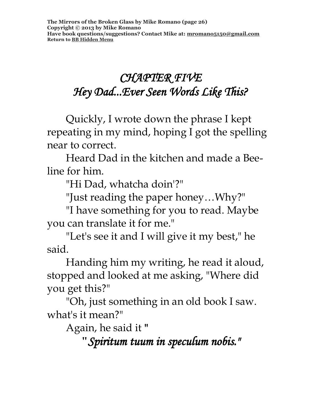# *CHAPTER FIVE Hey Dad...Ever Seen Words Like This?*

Quickly, I wrote down the phrase I kept repeating in my mind, hoping I got the spelling near to correct.

Heard Dad in the kitchen and made a Beeline for him.

"Hi Dad, whatcha doin'?"

"Just reading the paper honey…Why?"

"I have something for you to read. Maybe you can translate it for me."

"Let's see it and I will give it my best," he said.

Handing him my writing, he read it aloud, stopped and looked at me asking, "Where did you get this?"

"Oh, just something in an old book I saw. what's it mean?"

Again, he said it **"**

**"***Spiritum tuum in speculum nobis."*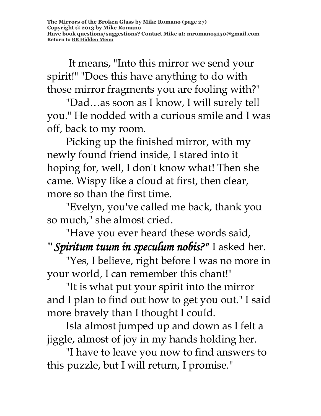It means, "Into this mirror we send your spirit!" "Does this have anything to do with those mirror fragments you are fooling with?"

"Dad…as soon as I know, I will surely tell you." He nodded with a curious smile and I was off, back to my room.

Picking up the finished mirror, with my newly found friend inside, I stared into it hoping for, well, I don't know what! Then she came. Wispy like a cloud at first, then clear, more so than the first time.

"Evelyn, you've called me back, thank you so much," she almost cried.

"Have you ever heard these words said, **"***Spiritum tuum in speculum nobis?"* I asked her.

"Yes, I believe, right before I was no more in your world, I can remember this chant!"

"It is what put your spirit into the mirror and I plan to find out how to get you out." I said more bravely than I thought I could.

Isla almost jumped up and down as I felt a jiggle, almost of joy in my hands holding her.

"I have to leave you now to find answers to this puzzle, but I will return, I promise."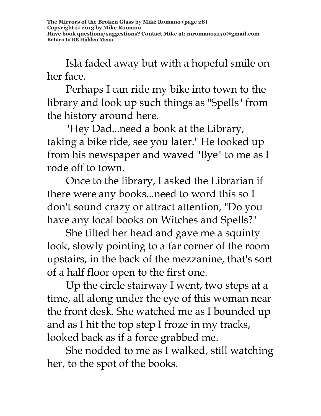Isla faded away but with a hopeful smile on her face.

Perhaps I can ride my bike into town to the library and look up such things as "Spells" from the history around here.

"Hey Dad...need a book at the Library, taking a bike ride, see you later." He looked up from his newspaper and waved "Bye" to me as I rode off to town.

Once to the library, I asked the Librarian if there were any books...need to word this so I don't sound crazy or attract attention, "Do you have any local books on Witches and Spells?"

She tilted her head and gave me a squinty look, slowly pointing to a far corner of the room upstairs, in the back of the mezzanine, that's sort of a half floor open to the first one.

Up the circle stairway I went, two steps at a time, all along under the eye of this woman near the front desk. She watched me as I bounded up and as I hit the top step I froze in my tracks, looked back as if a force grabbed me.

She nodded to me as I walked, still watching her, to the spot of the books.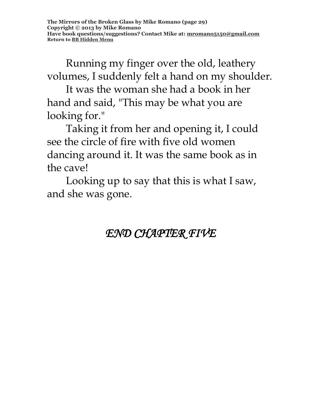Running my finger over the old, leathery volumes, I suddenly felt a hand on my shoulder.

It was the woman she had a book in her hand and said, "This may be what you are looking for."

Taking it from her and opening it, I could see the circle of fire with five old women dancing around it. It was the same book as in the cave!

Looking up to say that this is what I saw, and she was gone.

# *END CHAPTER FIVE*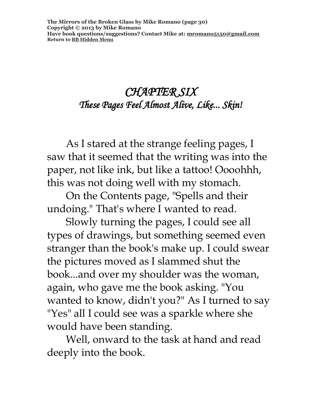#### *CHAPTER SIX These Pages Feel Almost Alive, Like... Skin!*

As I stared at the strange feeling pages, I saw that it seemed that the writing was into the paper, not like ink, but like a tattoo! Oooohhh, this was not doing well with my stomach.

On the Contents page, "Spells and their undoing." That's where I wanted to read.

Slowly turning the pages, I could see all types of drawings, but something seemed even stranger than the book's make up. I could swear the pictures moved as I slammed shut the book...and over my shoulder was the woman, again, who gave me the book asking. "You wanted to know, didn't you?" As I turned to say "Yes" all I could see was a sparkle where she would have been standing.

Well, onward to the task at hand and read deeply into the book.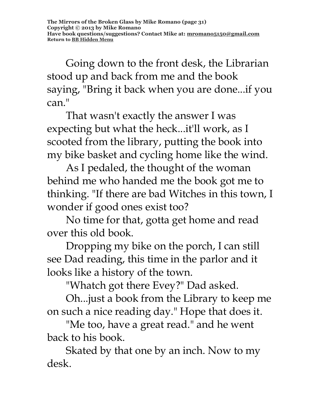Going down to the front desk, the Librarian stood up and back from me and the book saying, "Bring it back when you are done...if you can."

That wasn't exactly the answer I was expecting but what the heck...it'll work, as I scooted from the library, putting the book into my bike basket and cycling home like the wind.

As I pedaled, the thought of the woman behind me who handed me the book got me to thinking. "If there are bad Witches in this town, I wonder if good ones exist too?

No time for that, gotta get home and read over this old book.

Dropping my bike on the porch, I can still see Dad reading, this time in the parlor and it looks like a history of the town.

"Whatch got there Evey?" Dad asked.

Oh...just a book from the Library to keep me on such a nice reading day." Hope that does it.

"Me too, have a great read." and he went back to his book.

Skated by that one by an inch. Now to my desk.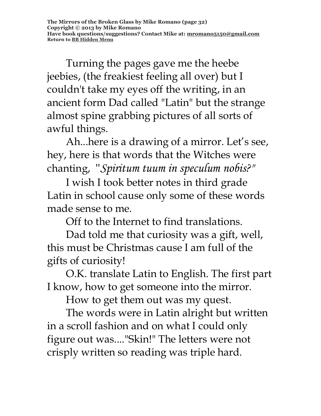**The Mirrors of the Broken Glass by Mike Romano (page 32) Copyright © 2013 by Mike Romano Have book questions/suggestions? Contact Mike at: [mromano5150@gmail.com](mailto:mromano5150@gmail.com) Return t[o BB Hidden Menu](https://www.bartlettbiographies.com/hidden-menu)**

Turning the pages gave me the heebe jeebies, (the freakiest feeling all over) but I couldn't take my eyes off the writing, in an ancient form Dad called "Latin" but the strange almost spine grabbing pictures of all sorts of awful things.

Ah...here is a drawing of a mirror. Let's see, hey, here is that words that the Witches were chanting, "*Spiritum tuum in speculum nobis?"* 

I wish I took better notes in third grade Latin in school cause only some of these words made sense to me.

Off to the Internet to find translations.

Dad told me that curiosity was a gift, well, this must be Christmas cause I am full of the gifts of curiosity!

O.K. translate Latin to English. The first part I know, how to get someone into the mirror.

How to get them out was my quest.

The words were in Latin alright but written in a scroll fashion and on what I could only figure out was...."Skin!" The letters were not crisply written so reading was triple hard.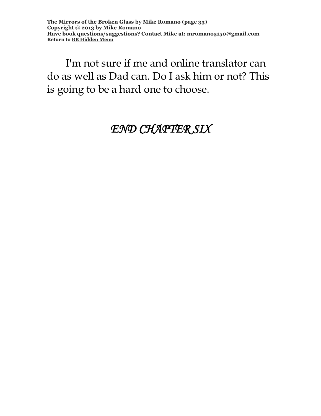**The Mirrors of the Broken Glass by Mike Romano (page 33) Copyright © 2013 by Mike Romano Have book questions/suggestions? Contact Mike at: [mromano5150@gmail.com](mailto:mromano5150@gmail.com) Return t[o BB Hidden Menu](https://www.bartlettbiographies.com/hidden-menu)**

I'm not sure if me and online translator can do as well as Dad can. Do I ask him or not? This is going to be a hard one to choose.

#### *END CHAPTER SIX*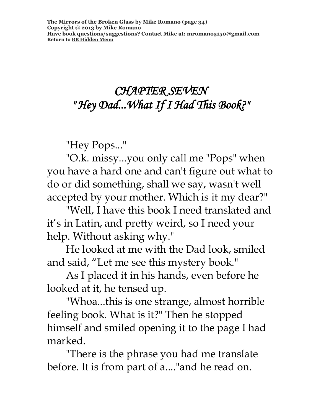# *CHAPTER SEVEN " Hey Dad...What If I Had This Book?"*

"Hey Pops..."

"O.k. missy...you only call me "Pops" when you have a hard one and can't figure out what to do or did something, shall we say, wasn't well accepted by your mother. Which is it my dear?"

"Well, I have this book I need translated and it's in Latin, and pretty weird, so I need your help. Without asking why."

He looked at me with the Dad look, smiled and said, "Let me see this mystery book."

As I placed it in his hands, even before he looked at it, he tensed up.

"Whoa...this is one strange, almost horrible feeling book. What is it?" Then he stopped himself and smiled opening it to the page I had marked.

"There is the phrase you had me translate before. It is from part of a...."and he read on.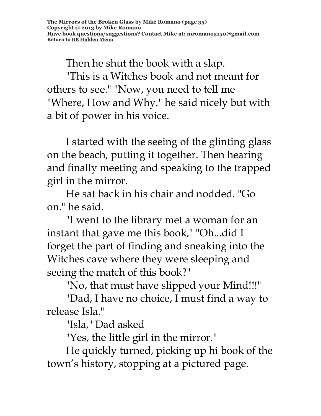Then he shut the book with a slap.

"This is a Witches book and not meant for others to see." "Now, you need to tell me "Where, How and Why." he said nicely but with a bit of power in his voice.

I started with the seeing of the glinting glass on the beach, putting it together. Then hearing and finally meeting and speaking to the trapped girl in the mirror.

He sat back in his chair and nodded. "Go on." he said.

"I went to the library met a woman for an instant that gave me this book," "Oh...did I forget the part of finding and sneaking into the Witches cave where they were sleeping and seeing the match of this book?"

"No, that must have slipped your Mind!!!"

"Dad, I have no choice, I must find a way to release Isla."

"Isla," Dad asked

"Yes, the little girl in the mirror."

He quickly turned, picking up hi book of the town's history, stopping at a pictured page.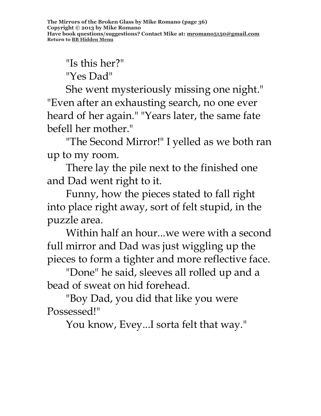"Is this her?" "Yes Dad"

She went mysteriously missing one night." "Even after an exhausting search, no one ever heard of her again." "Years later, the same fate befell her mother."

"The Second Mirror!" I yelled as we both ran up to my room.

There lay the pile next to the finished one and Dad went right to it.

Funny, how the pieces stated to fall right into place right away, sort of felt stupid, in the puzzle area.

Within half an hour...we were with a second full mirror and Dad was just wiggling up the pieces to form a tighter and more reflective face.

"Done" he said, sleeves all rolled up and a bead of sweat on hid forehead.

"Boy Dad, you did that like you were Possessed!"

You know, Evey...I sorta felt that way."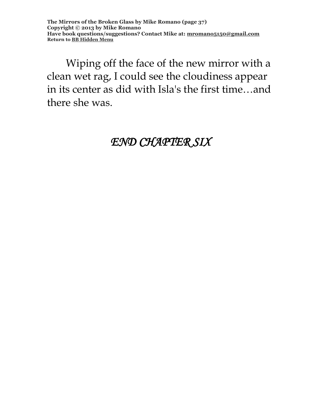**The Mirrors of the Broken Glass by Mike Romano (page 37) Copyright © 2013 by Mike Romano Have book questions/suggestions? Contact Mike at: [mromano5150@gmail.com](mailto:mromano5150@gmail.com) Return t[o BB Hidden Menu](https://www.bartlettbiographies.com/hidden-menu)**

Wiping off the face of the new mirror with a clean wet rag, I could see the cloudiness appear in its center as did with Isla's the first time…and there she was.

#### *END CHAPTER SIX*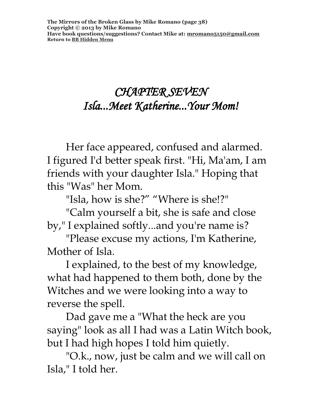## *CHAPTER SEVEN Isla...Meet Katherine...Your Mom!*

Her face appeared, confused and alarmed. I figured I'd better speak first. "Hi, Ma'am, I am friends with your daughter Isla." Hoping that this "Was" her Mom.

"Isla, how is she?" "Where is she!?"

"Calm yourself a bit, she is safe and close by," I explained softly...and you're name is?

"Please excuse my actions, I'm Katherine, Mother of Isla.

I explained, to the best of my knowledge, what had happened to them both, done by the Witches and we were looking into a way to reverse the spell.

Dad gave me a "What the heck are you saying" look as all I had was a Latin Witch book, but I had high hopes I told him quietly.

"O.k., now, just be calm and we will call on Isla," I told her.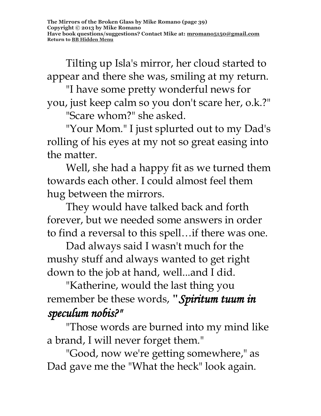Tilting up Isla's mirror, her cloud started to appear and there she was, smiling at my return.

"I have some pretty wonderful news for you, just keep calm so you don't scare her, o.k.?"

"Scare whom?" she asked.

"Your Mom." I just splurted out to my Dad's rolling of his eyes at my not so great easing into the matter.

Well, she had a happy fit as we turned them towards each other. I could almost feel them hug between the mirrors.

They would have talked back and forth forever, but we needed some answers in order to find a reversal to this spell…if there was one.

Dad always said I wasn't much for the mushy stuff and always wanted to get right down to the job at hand, well...and I did.

"Katherine, would the last thing you remember be these words, **"***Spiritum tuum in speculum nobis?"* 

"Those words are burned into my mind like a brand, I will never forget them."

"Good, now we're getting somewhere," as Dad gave me the "What the heck" look again.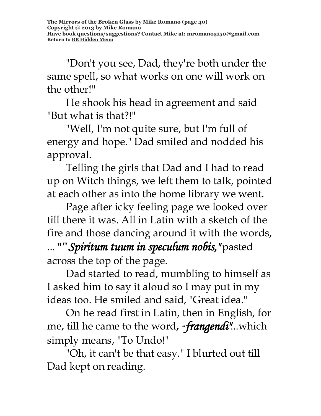"Don't you see, Dad, they're both under the same spell, so what works on one will work on the other!"

He shook his head in agreement and said "But what is that?!"

"Well, I'm not quite sure, but I'm full of energy and hope." Dad smiled and nodded his approval.

Telling the girls that Dad and I had to read up on Witch things, we left them to talk, pointed at each other as into the home library we went.

Page after icky feeling page we looked over till there it was. All in Latin with a sketch of the fire and those dancing around it with the words, ... **""***Spiritum tuum in speculum nobis,"* pasted across the top of the page.

Dad started to read, mumbling to himself as I asked him to say it aloud so I may put in my ideas too. He smiled and said, "Great idea."

On he read first in Latin, then in English, for me, till he came to the word**, "***frangendi"*...which simply means, "To Undo!"

"Oh, it can't be that easy." I blurted out till Dad kept on reading.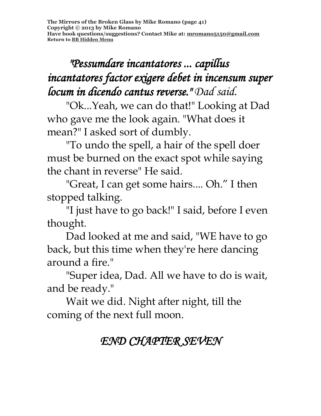**The Mirrors of the Broken Glass by Mike Romano (page 41) Copyright © 2013 by Mike Romano Have book questions/suggestions? Contact Mike at: [mromano5150@gmail.com](mailto:mromano5150@gmail.com) Return t[o BB Hidden Menu](https://www.bartlettbiographies.com/hidden-menu)**

# *"Pessumdare incantatores ... capillus incantatores factor exigere debet in incensum super locum in dicendo cantus reverse." Dad said.*

"Ok...Yeah, we can do that!" Looking at Dad who gave me the look again. "What does it mean?" I asked sort of dumbly.

"To undo the spell, a hair of the spell doer must be burned on the exact spot while saying the chant in reverse" He said.

"Great, I can get some hairs.... Oh." I then stopped talking.

"I just have to go back!" I said, before I even thought.

Dad looked at me and said, "WE have to go back, but this time when they're here dancing around a fire."

"Super idea, Dad. All we have to do is wait, and be ready."

Wait we did. Night after night, till the coming of the next full moon.

# *END CHAPTER SEVEN*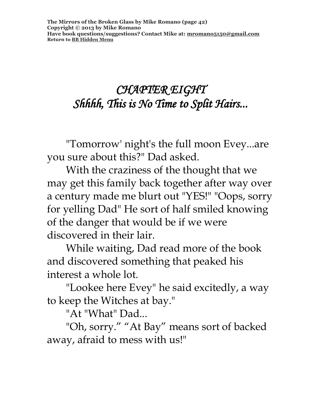# *CHAPTER EIGHT Shhhh, This is No Time to Split Hairs...*

"Tomorrow' night's the full moon Evey...are you sure about this?" Dad asked.

With the craziness of the thought that we may get this family back together after way over a century made me blurt out "YES!" "Oops, sorry for yelling Dad" He sort of half smiled knowing of the danger that would be if we were discovered in their lair.

While waiting, Dad read more of the book and discovered something that peaked his interest a whole lot.

"Lookee here Evey" he said excitedly, a way to keep the Witches at bay."

"At "What" Dad...

"Oh, sorry." "At Bay" means sort of backed away, afraid to mess with us!"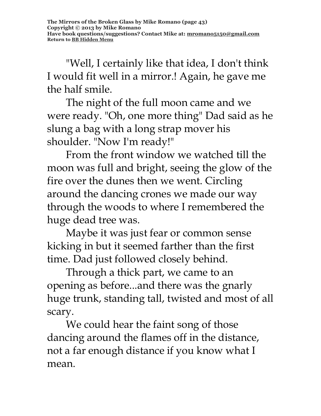"Well, I certainly like that idea, I don't think I would fit well in a mirror.! Again, he gave me the half smile.

The night of the full moon came and we were ready. "Oh, one more thing" Dad said as he slung a bag with a long strap mover his shoulder. "Now I'm ready!"

From the front window we watched till the moon was full and bright, seeing the glow of the fire over the dunes then we went. Circling around the dancing crones we made our way through the woods to where I remembered the huge dead tree was.

Maybe it was just fear or common sense kicking in but it seemed farther than the first time. Dad just followed closely behind.

Through a thick part, we came to an opening as before...and there was the gnarly huge trunk, standing tall, twisted and most of all scary.

We could hear the faint song of those dancing around the flames off in the distance, not a far enough distance if you know what I mean.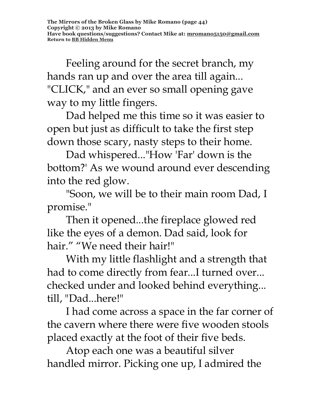Feeling around for the secret branch, my hands ran up and over the area till again... "CLICK," and an ever so small opening gave way to my little fingers.

Dad helped me this time so it was easier to open but just as difficult to take the first step down those scary, nasty steps to their home.

Dad whispered..."How 'Far' down is the bottom?' As we wound around ever descending into the red glow.

"Soon, we will be to their main room Dad, I promise."

Then it opened...the fireplace glowed red like the eyes of a demon. Dad said, look for hair." "We need their hair!"

With my little flashlight and a strength that had to come directly from fear...I turned over... checked under and looked behind everything... till, "Dad...here!"

I had come across a space in the far corner of the cavern where there were five wooden stools placed exactly at the foot of their five beds.

Atop each one was a beautiful silver handled mirror. Picking one up, I admired the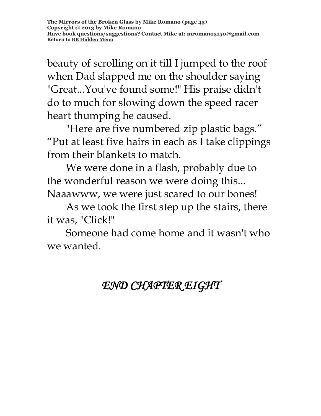beauty of scrolling on it till I jumped to the roof when Dad slapped me on the shoulder saying "Great...You've found some!" His praise didn't do to much for slowing down the speed racer heart thumping he caused.

"Here are five numbered zip plastic bags." "Put at least five hairs in each as I take clippings from their blankets to match.

We were done in a flash, probably due to the wonderful reason we were doing this... Naaawww, we were just scared to our bones!

As we took the first step up the stairs, there it was, "Click!"

Someone had come home and it wasn't who we wanted.

# *END CHAPTER EIGHT*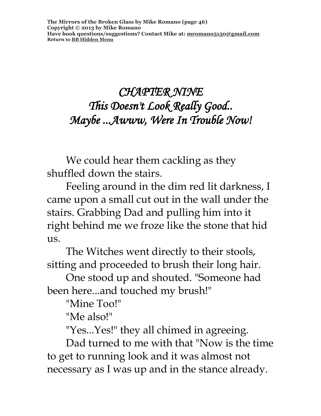## *CHAPTER NINE This Doesn't Look Really Good.. Maybe ...Awww, Were In Trouble Now!*

We could hear them cackling as they shuffled down the stairs.

Feeling around in the dim red lit darkness, I came upon a small cut out in the wall under the stairs. Grabbing Dad and pulling him into it right behind me we froze like the stone that hid us.

The Witches went directly to their stools, sitting and proceeded to brush their long hair.

One stood up and shouted. "Someone had been here...and touched my brush!"

"Mine Too!"

"Me also!"

"Yes...Yes!" they all chimed in agreeing.

Dad turned to me with that "Now is the time to get to running look and it was almost not necessary as I was up and in the stance already.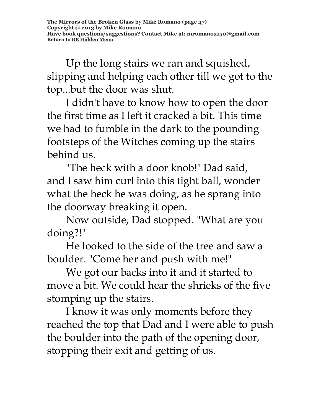Up the long stairs we ran and squished, slipping and helping each other till we got to the top...but the door was shut.

I didn't have to know how to open the door the first time as I left it cracked a bit. This time we had to fumble in the dark to the pounding footsteps of the Witches coming up the stairs behind us.

"The heck with a door knob!" Dad said, and I saw him curl into this tight ball, wonder what the heck he was doing, as he sprang into the doorway breaking it open.

Now outside, Dad stopped. "What are you doing?!"

He looked to the side of the tree and saw a boulder. "Come her and push with me!"

We got our backs into it and it started to move a bit. We could hear the shrieks of the five stomping up the stairs.

I know it was only moments before they reached the top that Dad and I were able to push the boulder into the path of the opening door, stopping their exit and getting of us.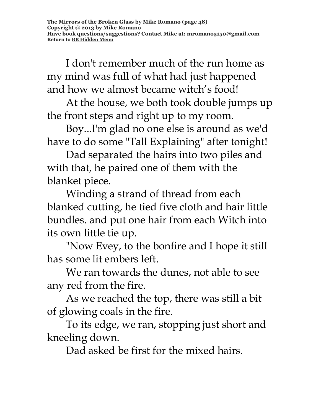I don't remember much of the run home as my mind was full of what had just happened and how we almost became witch's food!

At the house, we both took double jumps up the front steps and right up to my room.

Boy...I'm glad no one else is around as we'd have to do some "Tall Explaining" after tonight!

Dad separated the hairs into two piles and with that, he paired one of them with the blanket piece.

Winding a strand of thread from each blanked cutting, he tied five cloth and hair little bundles. and put one hair from each Witch into its own little tie up.

"Now Evey, to the bonfire and I hope it still has some lit embers left.

We ran towards the dunes, not able to see any red from the fire.

As we reached the top, there was still a bit of glowing coals in the fire.

To its edge, we ran, stopping just short and kneeling down.

Dad asked be first for the mixed hairs.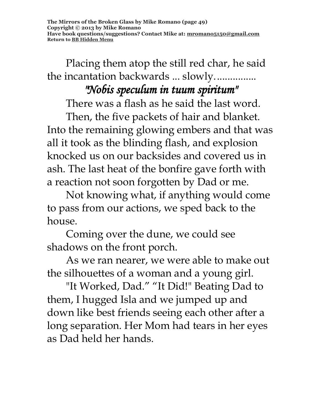Placing them atop the still red char, he said the incantation backwards ... slowly................ *"Nobis speculum in tuum spiritum"* 

There was a flash as he said the last word.

Then, the five packets of hair and blanket. Into the remaining glowing embers and that was all it took as the blinding flash, and explosion knocked us on our backsides and covered us in ash. The last heat of the bonfire gave forth with a reaction not soon forgotten by Dad or me.

Not knowing what, if anything would come to pass from our actions, we sped back to the house.

Coming over the dune, we could see shadows on the front porch.

As we ran nearer, we were able to make out the silhouettes of a woman and a young girl.

"It Worked, Dad." "It Did!" Beating Dad to them, I hugged Isla and we jumped up and down like best friends seeing each other after a long separation. Her Mom had tears in her eyes as Dad held her hands.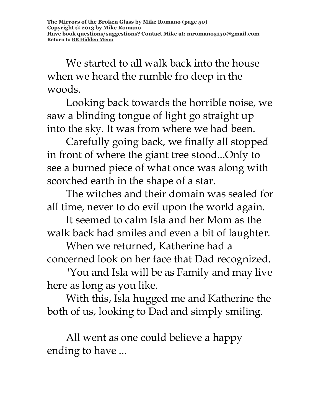**The Mirrors of the Broken Glass by Mike Romano (page 50) Copyright © 2013 by Mike Romano Have book questions/suggestions? Contact Mike at: [mromano5150@gmail.com](mailto:mromano5150@gmail.com) Return t[o BB Hidden Menu](https://www.bartlettbiographies.com/hidden-menu)**

We started to all walk back into the house when we heard the rumble fro deep in the woods.

Looking back towards the horrible noise, we saw a blinding tongue of light go straight up into the sky. It was from where we had been.

Carefully going back, we finally all stopped in front of where the giant tree stood...Only to see a burned piece of what once was along with scorched earth in the shape of a star.

The witches and their domain was sealed for all time, never to do evil upon the world again.

It seemed to calm Isla and her Mom as the walk back had smiles and even a bit of laughter.

When we returned, Katherine had a concerned look on her face that Dad recognized.

"You and Isla will be as Family and may live here as long as you like.

With this, Isla hugged me and Katherine the both of us, looking to Dad and simply smiling.

All went as one could believe a happy ending to have ...